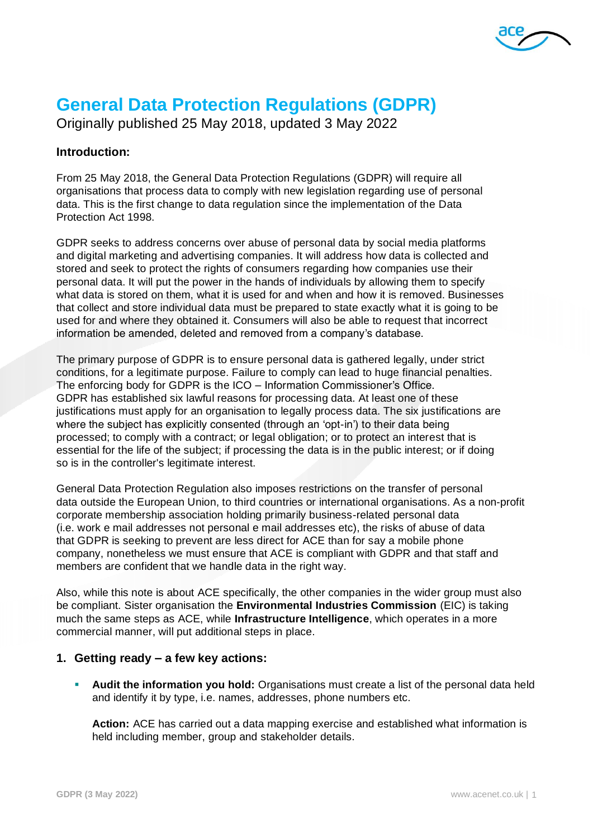

# **General Data Protection Regulations (GDPR)**

Originally published 25 May 2018, updated 3 May 2022

# **Introduction:**

From 25 May 2018, the General Data Protection Regulations (GDPR) will require all organisations that process data to comply with new legislation regarding use of personal data. This is the first change to data regulation since the implementation of the Data Protection Act 1998.

GDPR seeks to address concerns over abuse of personal data by social media platforms and digital marketing and advertising companies. It will address how data is collected and stored and seek to protect the rights of consumers regarding how companies use their personal data. It will put the power in the hands of individuals by allowing them to specify what data is stored on them, what it is used for and when and how it is removed. Businesses that collect and store individual data must be prepared to state exactly what it is going to be used for and where they obtained it. Consumers will also be able to request that incorrect information be amended, deleted and removed from a company's database.

The primary purpose of GDPR is to ensure personal data is gathered legally, under strict conditions, for a legitimate purpose. Failure to comply can lead to huge financial penalties. The enforcing body for GDPR is the ICO – Information Commissioner's Office. GDPR has established six lawful reasons for processing data. At least one of these justifications must apply for an organisation to legally process data. The six justifications are where the subject has explicitly consented (through an 'opt-in') to their data being processed; to comply with a contract; or legal obligation; or to protect an interest that is essential for the life of the subject; if processing the data is in the public interest; or if doing so is in the controller's legitimate interest.

General Data Protection Regulation also imposes restrictions on the transfer of personal data outside the European Union, to third countries or international organisations. As a non-profit corporate membership association holding primarily business-related personal data (i.e. work e mail addresses not personal e mail addresses etc), the risks of abuse of data that GDPR is seeking to prevent are less direct for ACE than for say a mobile phone company, nonetheless we must ensure that ACE is compliant with GDPR and that staff and members are confident that we handle data in the right way.

Also, while this note is about ACE specifically, the other companies in the wider group must also be compliant. Sister organisation the **Environmental Industries Commission** (EIC) is taking much the same steps as ACE, while **Infrastructure Intelligence**, which operates in a more commercial manner, will put additional steps in place.

#### **1. Getting ready – a few key actions:**

Audit the information you hold: Organisations must create a list of the personal data held and identify it by type, i.e. names, addresses, phone numbers etc.

**Action:** ACE has carried out a data mapping exercise and established what information is held including member, group and stakeholder details.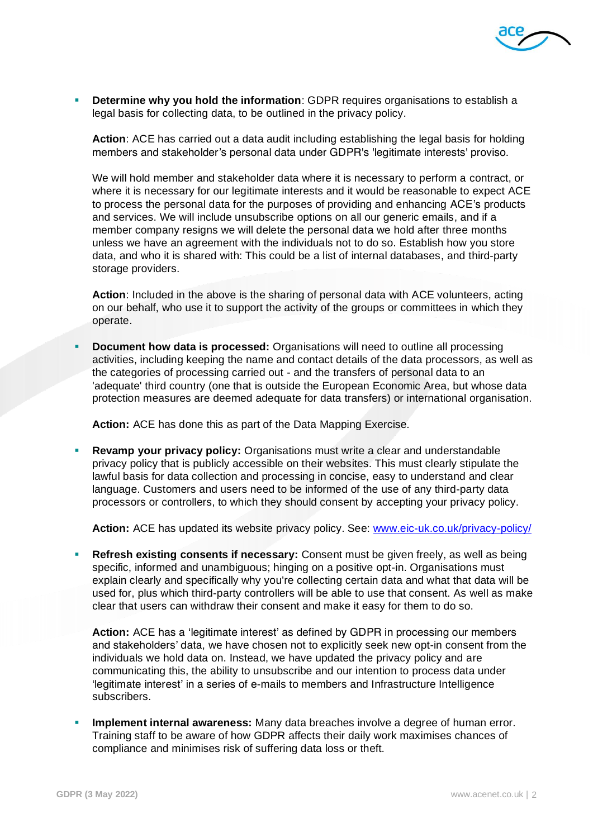

**Determine why you hold the information: GDPR requires organisations to establish a** legal basis for collecting data, to be outlined in the privacy policy.

**Action**: ACE has carried out a data audit including establishing the legal basis for holding members and stakeholder's personal data under GDPR's 'legitimate interests' proviso.

We will hold member and stakeholder data where it is necessary to perform a contract, or where it is necessary for our legitimate interests and it would be reasonable to expect ACE to process the personal data for the purposes of providing and enhancing ACE's products and services. We will include unsubscribe options on all our generic emails, and if a member company resigns we will delete the personal data we hold after three months unless we have an agreement with the individuals not to do so. Establish how you store data, and who it is shared with: This could be a list of internal databases, and third-party storage providers.

**Action**: Included in the above is the sharing of personal data with ACE volunteers, acting on our behalf, who use it to support the activity of the groups or committees in which they operate.

**Document how data is processed:** Organisations will need to outline all processing activities, including keeping the name and contact details of the data processors, as well as the categories of processing carried out - and the transfers of personal data to an 'adequate' third country (one that is outside the European Economic Area, but whose data protection measures are deemed adequate for data transfers) or international organisation.

**Action:** ACE has done this as part of the Data Mapping Exercise.

**Revamp your privacy policy:** Organisations must write a clear and understandable privacy policy that is publicly accessible on their websites. This must clearly stipulate the lawful basis for data collection and processing in concise, easy to understand and clear language. Customers and users need to be informed of the use of any third-party data processors or controllers, to which they should consent by accepting your privacy policy.

**Action:** ACE has updated its website privacy policy. See: [www.eic-uk.co.uk/privacy-policy/](http://www.eic-uk.co.uk/privacy-policy/)

**Refresh existing consents if necessary:** Consent must be given freely, as well as being specific, informed and unambiguous; hinging on a positive opt-in. Organisations must explain clearly and specifically why you're collecting certain data and what that data will be used for, plus which third-party controllers will be able to use that consent. As well as make clear that users can withdraw their consent and make it easy for them to do so.

**Action:** ACE has a 'legitimate interest' as defined by GDPR in processing our members and stakeholders' data, we have chosen not to explicitly seek new opt-in consent from the individuals we hold data on. Instead, we have updated the privacy policy and are communicating this, the ability to unsubscribe and our intention to process data under 'legitimate interest' in a series of e-mails to members and Infrastructure Intelligence subscribers.

**EXTED Implement internal awareness:** Many data breaches involve a degree of human error. Training staff to be aware of how GDPR affects their daily work maximises chances of compliance and minimises risk of suffering data loss or theft.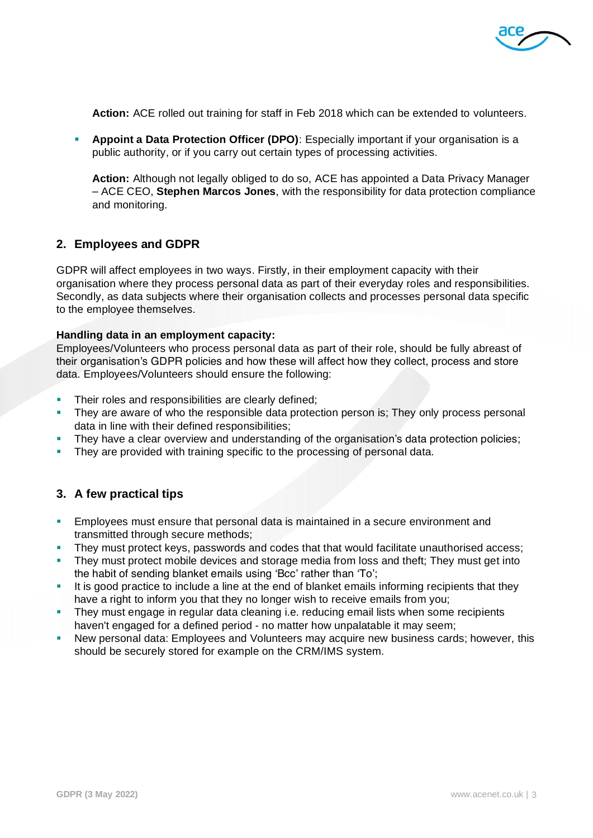

**Action:** ACE rolled out training for staff in Feb 2018 which can be extended to volunteers.

**• Appoint a Data Protection Officer (DPO)**: Especially important if your organisation is a public authority, or if you carry out certain types of processing activities.

**Action:** Although not legally obliged to do so, ACE has appointed a Data Privacy Manager – ACE CEO, **Stephen Marcos Jones**, with the responsibility for data protection compliance and monitoring.

### **2. Employees and GDPR**

GDPR will affect employees in two ways. Firstly, in their employment capacity with their organisation where they process personal data as part of their everyday roles and responsibilities. Secondly, as data subjects where their organisation collects and processes personal data specific to the employee themselves.

#### **Handling data in an employment capacity:**

Employees/Volunteers who process personal data as part of their role, should be fully abreast of their organisation's GDPR policies and how these will affect how they collect, process and store data. Employees/Volunteers should ensure the following:

- Their roles and responsibilities are clearly defined;
- **•** They are aware of who the responsible data protection person is: They only process personal data in line with their defined responsibilities;
- **•** They have a clear overview and understanding of the organisation's data protection policies;
- **They are provided with training specific to the processing of personal data.**

#### **3. A few practical tips**

- **Employees must ensure that personal data is maintained in a secure environment and** transmitted through secure methods;
- **·** They must protect keys, passwords and codes that that would facilitate unauthorised access;
- **They must protect mobile devices and storage media from loss and theft; They must get into** the habit of sending blanket emails using 'Bcc' rather than 'To';
- **.** It is good practice to include a line at the end of blanket emails informing recipients that they have a right to inform you that they no longer wish to receive emails from you;
- **They must engage in regular data cleaning i.e. reducing email lists when some recipients** haven't engaged for a defined period - no matter how unpalatable it may seem;
- New personal data: Employees and Volunteers may acquire new business cards; however, this should be securely stored for example on the CRM/IMS system.